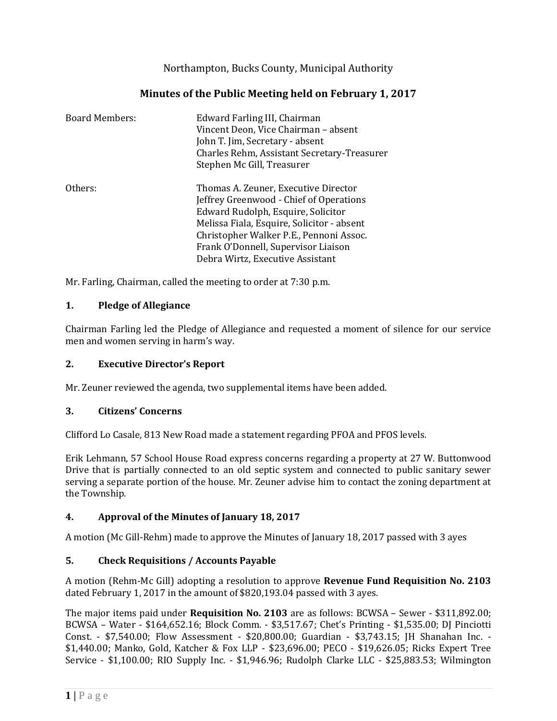Northampton, Bucks County, Municipal Authority

# **Minutes of the Public Meeting held on February 1, 2017**

| <b>Board Members:</b> | Edward Farling III, Chairman<br>Vincent Deon, Vice Chairman - absent<br>John T. Jim, Secretary - absent<br>Charles Rehm, Assistant Secretary-Treasurer<br>Stephen Mc Gill, Treasurer                                                                                                      |
|-----------------------|-------------------------------------------------------------------------------------------------------------------------------------------------------------------------------------------------------------------------------------------------------------------------------------------|
| Others:               | Thomas A. Zeuner, Executive Director<br>Jeffrey Greenwood - Chief of Operations<br>Edward Rudolph, Esquire, Solicitor<br>Melissa Fiala, Esquire, Solicitor - absent<br>Christopher Walker P.E., Pennoni Assoc.<br>Frank O'Donnell, Supervisor Liaison<br>Debra Wirtz, Executive Assistant |

Mr. Farling, Chairman, called the meeting to order at 7:30 p.m.

### **1. Pledge of Allegiance**

Chairman Farling led the Pledge of Allegiance and requested a moment of silence for our service men and women serving in harm's way.

### **2. Executive Director's Report**

Mr. Zeuner reviewed the agenda, two supplemental items have been added.

## **3. Citizens' Concerns**

Clifford Lo Casale, 813 New Road made a statement regarding PFOA and PFOS levels.

Erik Lehmann, 57 School House Road express concerns regarding a property at 27 W. Buttonwood Drive that is partially connected to an old septic system and connected to public sanitary sewer serving a separate portion of the house. Mr. Zeuner advise him to contact the zoning department at the Township.

## **4. Approval of the Minutes of January 18, 2017**

A motion (Mc Gill-Rehm) made to approve the Minutes of January 18, 2017 passed with 3 ayes

## **5. Check Requisitions / Accounts Payable**

A motion (Rehm-Mc Gill) adopting a resolution to approve **Revenue Fund Requisition No. 2103** dated February 1, 2017 in the amount of \$820,193.04 passed with 3 ayes.

The major items paid under **Requisition No. 2103** are as follows: BCWSA – Sewer - \$311,892.00; BCWSA – Water - \$164,652.16; Block Comm. - \$3,517.67; Chet's Printing - \$1,535.00; DJ Pinciotti Const. - \$7,540.00; Flow Assessment - \$20,800.00; Guardian - \$3,743.15; JH Shanahan Inc. - \$1,440.00; Manko, Gold, Katcher & Fox LLP - \$23,696.00; PECO - \$19,626.05; Ricks Expert Tree Service - \$1,100.00; RIO Supply Inc. - \$1,946.96; Rudolph Clarke LLC - \$25,883.53; Wilmington